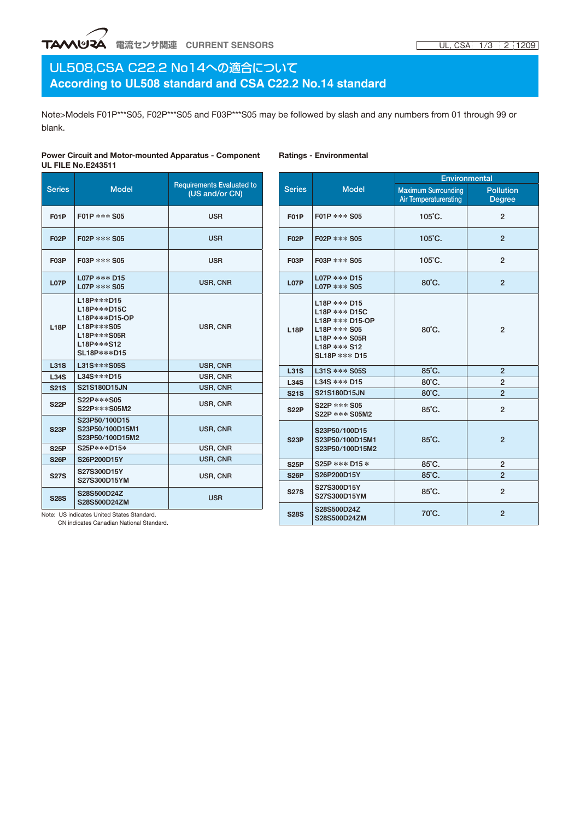### **TAへいリマム** 電流センサ関連 CURRENT SENSORS

### UL508,CSA C22.2 No14への適合について **According to UL508 standard and CSA C22.2 No.14 standard**

Note>Models F01P\*\*\*S05, F02P\*\*\*S05 and F03P\*\*\*S05 may be followed by slash and any numbers from 01 through 99 or blank.

**Ratings - Environmental**

#### **Power Circuit and Motor-mounted Apparatus - Component UL FILE No.E243511**

Series Model Requirements Evaluated to (US and/or CN) **F01P**  $\left| \frac{F01P}{F01P} \right| \leq 0.05$ **F02P** F02P\*\*\*S05 USR **F03P** F03P\*\*\*S05 USR **L07P** L07P\*\*\*D15 LO7P \*\*\* DIS<br>LO7P \*\*\* S05 USR, CNR **L18P** L18P\*\*\*D15 L18P\*\*\*D15C L18P\*\*\*D15-OP L18P\*\*\*S05 L18P\*\*\*S05R L18P\*\*\*S12 SL18P\*\*\*D15 USR, CNR **L31S** L31S\*\*\*S05S USR, CNR **L34S** L34S\*\*\*D15 USR, CNR **S21S** S21S180D15JN USR, CNR **S22P** S22P\*\*\*S05 S22P\*\*\*S05M2 USR, CNR **S23P** S23P50/100D15 S23P50/100D15M1 S23P50/100D15M2 USR, CNR **S25P** S25P\*\*\*D15\* USR, CNR **S26P** S26P200D15Y USR, CNR **S27S** S27S300D15Y S27S300D15Y<br>S27S300D15YM USR, CNR **S28S** S28S500D24Z

S28S500D24Z<br>S28S500D24ZM USR

|                   |                                                                                                                      | Environmental                                       |                                   |  |  |  |
|-------------------|----------------------------------------------------------------------------------------------------------------------|-----------------------------------------------------|-----------------------------------|--|--|--|
| <b>Series</b>     | <b>Model</b>                                                                                                         | <b>Maximum Surrounding</b><br>Air Temperaturerating | <b>Pollution</b><br><b>Degree</b> |  |  |  |
| F <sub>0</sub> 1P | F01P *** S05                                                                                                         | $105^{\circ}$ C.                                    | $\overline{2}$                    |  |  |  |
| <b>F02P</b>       | F02P *** S05                                                                                                         | 105°C.                                              | $\overline{2}$                    |  |  |  |
| F <sub>0</sub> 3P | F03P *** S05                                                                                                         | $105^{\circ}$ C.                                    | $\overline{2}$                    |  |  |  |
| <b>L07P</b>       | L07P *** D15<br>L07P *** S05                                                                                         | 80°C.                                               | $\mathfrak{p}$                    |  |  |  |
| <b>L18P</b>       | L18P *** D15<br>L18P *** D15C<br>L18P *** D15-OP<br>$L18P$ *** S05<br>L18P *** S05R<br>L18P *** S12<br>SL18P *** D15 | 80°C.                                               | $\mathfrak{p}$                    |  |  |  |
| <b>L31S</b>       | L31S *** S05S                                                                                                        | 85°C.                                               | $\overline{2}$                    |  |  |  |
| <b>L34S</b>       | L34S *** D15                                                                                                         | 80°C.                                               | $\overline{2}$                    |  |  |  |
| <b>S21S</b>       | S21S180D15JN                                                                                                         | 80°C.                                               | $\overline{2}$                    |  |  |  |
| <b>S22P</b>       | S22P *** S05<br>S22P *** S05M2                                                                                       | 85°C.                                               | $\overline{2}$                    |  |  |  |
| <b>S23P</b>       | S23P50/100D15<br>S23P50/100D15M1<br>S23P50/100D15M2                                                                  | 85°C.                                               | $\overline{2}$                    |  |  |  |
| <b>S25P</b>       | S25P *** D15 *                                                                                                       | 85°C.                                               | $\overline{2}$                    |  |  |  |
| <b>S26P</b>       | S26P200D15Y                                                                                                          | 85°C.                                               | $\overline{2}$                    |  |  |  |
| <b>S27S</b>       | S27S300D15Y<br>S27S300D15YM                                                                                          | 85°C.                                               | $\overline{2}$                    |  |  |  |
| <b>S28S</b>       | S28S500D24Z<br>S28S500D24ZM                                                                                          | 70°C.                                               | $\overline{2}$                    |  |  |  |

Note: US indicates United States Standard. CN indicates Canadian National Standard.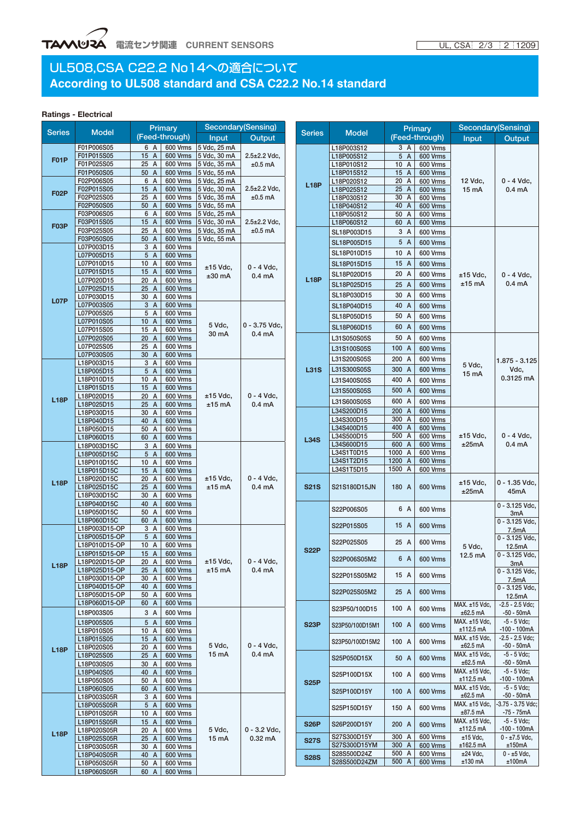## UL508,CSA C22.2 No14への適合について **According to UL508 standard and CSA C22.2 No.14 standard**

#### **Ratings - Electrical**

| <b>Series</b> | <b>Model</b>                   | <b>Primary</b>              |                                    | Secondary(Sensing)                                                                             |                                                                           |                            |                          | <b>Primary</b>                  |                      | Secondary(Sensing)           |                                    |
|---------------|--------------------------------|-----------------------------|------------------------------------|------------------------------------------------------------------------------------------------|---------------------------------------------------------------------------|----------------------------|--------------------------|---------------------------------|----------------------|------------------------------|------------------------------------|
|               |                                |                             | (Feed-through)                     | Input                                                                                          | Output                                                                    | <b>Series</b>              | <b>Model</b>             |                                 | (Feed-through)       | Input                        | Output                             |
| <b>F01P</b>   | F01P006S05                     | 6 A                         |                                    | 600 Vrms 5 Vdc, 25 mA                                                                          | $2.5 \pm 2.2$ Vdc.                                                        |                            | L18P003S12               | 3 A                             | 600 Vrms             |                              |                                    |
|               | F01P015S05                     | 15A                         | <b>600 Vrms</b>                    | 5 Vdc, 30 mA                                                                                   |                                                                           |                            | L18P005S12               | 5 A                             | 600 Vrms             |                              |                                    |
|               | F01P025S05                     | 25 A                        |                                    | 600 Vrms 5 Vdc, 35 mA                                                                          | $±0.5$ mA                                                                 |                            | L18P010S12               | 10 A                            | <b>600 Vrms</b>      |                              |                                    |
| <b>F02P</b>   | F01P050S05                     | 50 A                        | 600 Vrms                           | 5 Vdc, 55 mA<br>600 Vrms 5 Vdc, 25 mA<br>600 Vrms 5 Vdc, 30 mA<br>5 Vdc, 35 mA<br>5 Vdc, 55 mA |                                                                           |                            | L18P015S12               | 15 A                            | 600 Vrms             |                              | $0 - 4$ Vdc.                       |
|               | F02P006S05<br>F02P015S05       | 6 A<br>15A                  |                                    |                                                                                                | $2.5 \pm 2.2$ Vdc,<br>$±0.5$ mA                                           | <b>L18P</b>                | L18P020S12               | 20 A<br>25 A                    | 600 Vrms<br>600 Vrms | 12 Vdc,<br>15 mA             |                                    |
|               | F02P025S05                     | 25 A                        | 600 Vrms                           |                                                                                                |                                                                           |                            | L18P025S12<br>L18P030S12 | 30 A                            | 600 Vrms             |                              | 0.4 <sub>m</sub> A                 |
|               | F02P050S05                     | 50 A                        | 600 Vrms                           |                                                                                                |                                                                           |                            | L18P040S12               | 40 A                            | 600 Vrms             |                              |                                    |
| <b>F03P</b>   | F03P006S05                     | 6 A                         | 600 Vrms                           | 5 Vdc, 25 mA<br>600 Vrms 5 Vdc, 30 mA<br>600 Vrms 5 Vdc, 35 mA                                 | $2.5 \pm 2.2$ Vdc,<br>$±0.5$ mA                                           |                            | L18P050S12               | 50 A                            | 600 Vrms             |                              |                                    |
|               | F03P015S05                     | 15A                         |                                    |                                                                                                |                                                                           |                            | L18P060S12               | 60 A                            | 600 Vrms             |                              |                                    |
|               | F03P025S05                     | 25 A                        |                                    |                                                                                                |                                                                           |                            | SL18P003D15              | 3 A                             | <b>600 Vrms</b>      |                              |                                    |
|               | F03P050S05                     | 50 A                        | <b>600 Vrms</b>                    | 5 Vdc. 55 mA                                                                                   |                                                                           |                            | SL18P005D15              | 5 A                             | 600 Vrms             |                              |                                    |
|               | L07P003D15                     | 3 A<br>5 A                  | 600 Vrms<br>600 Vrms               |                                                                                                |                                                                           |                            | SL18P010D15              | 10 A                            | <b>600 Vrms</b>      |                              |                                    |
|               | L07P005D15<br>L07P010D15       | 10 A                        | 600 Vrms                           |                                                                                                | $0 - 4$ Vdc,                                                              |                            | SL18P015D15              | 15 A                            | 600 Vrms             |                              |                                    |
|               | L07P015D15                     | 15A                         | 600 Vrms                           | $±15$ Vdc,                                                                                     |                                                                           |                            | SL18P020D15              | 20 A                            | 600 Vrms             |                              |                                    |
|               | L07P020D15                     | 20 A                        | 600 Vrms                           | $±30$ mA                                                                                       | 0.4 <sub>m</sub> A                                                        | <b>L18P</b>                |                          |                                 |                      | $±15$ Vdc,<br>$±15$ mA       | $0 - 4$ Vdc,<br>0.4 <sub>m</sub> A |
|               | L07P025D15                     | 25 A                        | 600 Vrms                           |                                                                                                |                                                                           |                            | SL18P025D15              | 25 A                            | 600 Vrms             |                              |                                    |
| <b>L07P</b>   | L07P030D15                     | 30 A                        | 600 Vrms                           |                                                                                                |                                                                           |                            | SL18P030D15              | 30 A                            | <b>600 Vrms</b>      |                              |                                    |
|               | L07P003S05                     | 3A                          | 600 Vrms                           |                                                                                                |                                                                           |                            | SL18P040D15              | 40 A                            | <b>600 Vrms</b>      |                              |                                    |
|               | L07P005S05                     | 5 A                         | 600 Vrms                           |                                                                                                |                                                                           |                            | SL18P050D15              | 50 A                            | <b>600 Vrms</b>      |                              |                                    |
|               | L07P010S05<br>L07P015S05       | 10<br>$\overline{A}$<br>15A | 600 Vrms<br>600 Vrms               | 5 Vdc,                                                                                         | $0 - 3.75$ Vdc.                                                           |                            | SL18P060D15              | 60 A                            | 600 Vrms             |                              |                                    |
|               | L07P020S05                     | $20 \text{ A}$              | 600 Vrms                           | 30 mA                                                                                          | 0.4 <sub>m</sub> A                                                        |                            | L31S050S05S              | 50 A                            | 600 Vrms             |                              |                                    |
|               | L07P025S05                     | 25 A                        | 600 Vrms                           |                                                                                                |                                                                           |                            | L31S100S05S              | 100 A                           | <b>600 Vrms</b>      |                              |                                    |
|               | L07P030S05                     | 30 A                        | <b>600 Vrms</b>                    |                                                                                                |                                                                           |                            | L31S200S05S              | 200 A                           |                      |                              |                                    |
|               | L18P003D15                     | 3 A                         | 600 Vrms                           |                                                                                                |                                                                           |                            |                          |                                 | 600 Vrms             | 5 Vdc,                       | $1.875 - 3.125$                    |
|               | L18P005D15                     | 5 A                         | <b>600 Vrms</b>                    |                                                                                                |                                                                           | <b>L31S</b>                | L31S300S05S              | 300 A                           | 600 Vrms             | 15 mA                        | Vdc,<br>0.3125 mA                  |
|               | L18P010D15                     | 10 A                        | 600 Vrms                           |                                                                                                | $0 - 4$ Vdc.                                                              |                            | L31S400S05S              | 400 A                           | <b>600 Vrms</b>      |                              |                                    |
|               | L18P015D15<br>L18P020D15       | 15 A<br>20 A                | 600 Vrms<br>600 Vrms               | $±15$ Vdc,                                                                                     |                                                                           |                            | L31S500S05S              | 500<br>$\overline{A}$           | <b>600 Vrms</b>      |                              |                                    |
| <b>L18P</b>   | L18P025D15                     | 25A                         | <b>600 Vrms</b>                    | $±15$ mA                                                                                       | 0.4 <sub>m</sub> A                                                        |                            | L31S600S05S              | 600 A                           | 600 Vrms             |                              |                                    |
|               | L18P030D15                     | 30 A                        | <b>600 Vrms</b>                    |                                                                                                |                                                                           |                            | L34S200D15               | 200 A                           | 600 Vrms             |                              | $0 - 4$ Vdc,<br>0.4 <sub>m</sub> A |
|               | L18P040D15                     | 40<br>$\mathsf{A}$          | 600 Vrms                           |                                                                                                |                                                                           |                            | L34S300D15               | 300<br>A                        | 600 Vrms             |                              |                                    |
|               | L18P050D15                     | 50 A                        | 600 Vrms                           |                                                                                                |                                                                           |                            | L34S400D15               | 400<br>$\overline{A}$           | 600 Vrms             |                              |                                    |
|               | L18P060D15                     | 60 A                        | 600 Vrms                           | $±15$ Vdc,<br>$±15$ mA                                                                         |                                                                           | <b>L34S</b>                | L34S500D15               | 500<br>A<br>600<br>$\mathsf{A}$ | 600 Vrms<br>600 Vrms | $±15$ Vdc,<br>±25mA          |                                    |
|               | L18P003D15C                    | 3 A                         | 600 Vrms                           |                                                                                                |                                                                           |                            | L34S600D15<br>L34S1T0D15 | 1000 A                          | 600 Vrms             |                              |                                    |
|               | L18P005D15C<br>L18P010D15C     | 5 A<br>10 A                 | 600 Vrms<br>600 Vrms               |                                                                                                |                                                                           |                            | L34S1T2D15               | 1200<br>$\overline{A}$          | 600 Vrms             |                              |                                    |
|               | L18P015D15C                    | 15A                         | 600 Vrms                           |                                                                                                |                                                                           |                            | L34S1T5D15               | 1500 A                          | 600 Vrms             |                              |                                    |
|               | L18P020D15C                    | 20 A                        | 600 Vrms                           |                                                                                                | $0 - 4$ Vdc,                                                              |                            |                          |                                 | 600 Vrms             | $±15$ Vdc,<br>±25mA          |                                    |
| <b>L18P</b>   | L18P025D15C                    | 25A                         | <b>600 Vrms</b>                    |                                                                                                | 0.4 <sub>m</sub> A                                                        | <b>S21S</b>                | S21S180D15JN             | 180 A                           |                      |                              | 0 - 1.35 Vdc,<br>45mA              |
|               | L18P030D15C                    | 30 A                        | 600 Vrms                           |                                                                                                |                                                                           |                            |                          |                                 |                      |                              |                                    |
|               | L18P040D15C                    | 40 A                        | <b>600 Vrms</b>                    |                                                                                                |                                                                           |                            | S22P006S05               | 6 A                             | 600 Vrms             |                              | $0 - 3.125$ Vdc,                   |
|               | L18P050D15C                    | 50 A                        | <b>600 Vrms</b><br><b>600 Vrms</b> |                                                                                                |                                                                           |                            |                          |                                 |                      |                              | 3mA                                |
|               | L18P060D15C<br>L18P003D15-OP   | 60 A<br>3 A                 | 600 Vrms                           |                                                                                                |                                                                           |                            | S22P015S05               | 15 A                            | 600 Vrms             |                              | $0 - 3.125$ Vdc,                   |
|               | L18P005D15-OP                  | 5 A                         | 600 Vrms                           |                                                                                                | $0 - 4$ Vdc,<br>0.4 <sub>m</sub> A                                        | <b>S22P</b>                |                          |                                 |                      |                              | 7.5mA<br>$0 - 3.125$ Vdc,          |
|               | L18P010D15-OP                  | 10 A                        | <b>600 Vrms</b>                    |                                                                                                |                                                                           |                            | S22P025S05               | 25 A                            | 600 Vrms             | 5 Vdc,                       | 12.5mA                             |
|               | L18P015D15-OP                  | 15A                         | 600 Vrms                           |                                                                                                |                                                                           |                            |                          | 6 A                             |                      | 12.5 mA                      | $0 - 3.125$ Vdc,                   |
| <b>L18P</b>   | L18P020D15-OP                  | 20 A                        | 600 Vrms                           | $±15$ Vdc,<br>$±15$ mA                                                                         |                                                                           |                            | S22P006S05M2             |                                 | <b>600 Vrms</b>      |                              | 3mA                                |
|               | L18P025D15-OP                  | 25 A                        | <b>600 Vrms</b>                    |                                                                                                |                                                                           |                            | S22P015S05M2             | 15A                             | 600 Vrms             |                              | 0 - 3.125 Vdc,                     |
|               | L18P030D15-OP<br>L18P040D15-OP | $30 \text{ A}$<br>40 A      | 600 Vrms<br>600 Vrms               |                                                                                                |                                                                           |                            |                          |                                 |                      |                              | 7.5mA                              |
|               | L18P050D15-OP                  | 50 A                        | 600 Vrms                           |                                                                                                |                                                                           |                            | S22P025S05M2             | 25 A                            | <b>600 Vrms</b>      |                              | $0 - 3.125$ Vdc,<br>12.5mA         |
|               | L18P060D15-OP                  | 60 A                        | 600 Vrms                           |                                                                                                |                                                                           |                            |                          |                                 |                      | MAX. ±15 Vdc,                | $-2.5 - 2.5$ Vdc;                  |
|               | L18P003S05                     | 3 A                         | 600 Vrms                           | 5 Vdc,<br>15 mA                                                                                | $0 - 4$ Vdc,<br>0.4 <sub>m</sub> A<br>$0 - 3.2$ Vdc,<br>$0.32 \text{ mA}$ |                            | S23P50/100D15            | 100 A                           | 600 Vrms             | $±62.5$ mA                   | $-50 - 50mA$                       |
|               | L18P005S05                     | 5 A                         | 600 Vrms                           |                                                                                                |                                                                           | <b>S23P</b>                | S23P50/100D15M1          | 100 A                           | 600 Vrms             | MAX. ±15 Vdc,                | $-5 - 5$ Vdc:                      |
|               | L18P010S05                     | 10 A                        | 600 Vrms                           |                                                                                                |                                                                           |                            |                          |                                 |                      | $±112.5$ mA                  | $-100 - 100mA$                     |
|               | L18P015S05                     | 15A                         | 600 Vrms                           |                                                                                                |                                                                           |                            | S23P50/100D15M2          | 100 A                           | <b>600 Vrms</b>      | MAX. ±15 Vdc,                | $-2.5 - 2.5$ Vdc;                  |
| <b>L18P</b>   | L18P020S05                     | 20 A                        | <b>600 Vrms</b>                    |                                                                                                |                                                                           |                            |                          |                                 |                      | $±62.5$ mA                   | $-50 - 50mA$                       |
|               | L18P025S05                     | 25A                         | 600 Vrms                           |                                                                                                |                                                                           |                            | S25P050D15X              | 50 A                            | 600 Vrms             | MAX. ±15 Vdc,<br>$±62.5$ mA  | $-5 - 5$ Vdc;<br>$-50 - 50mA$      |
|               | L18P030S05<br>L18P040S05       | 30 A<br>40 A                | 600 Vrms<br>600 Vrms               |                                                                                                |                                                                           |                            |                          |                                 |                      | MAX. ±15 Vdc,                | $-5 - 5$ Vdc;                      |
|               | L18P050S05                     | 50 A                        | 600 Vrms                           |                                                                                                |                                                                           |                            | S25P100D15X              | 100 A                           | <b>600 Vrms</b>      | $±112.5$ mA                  | -100 - 100mA                       |
|               | L18P060S05                     | 60 A                        | 600 Vrms                           |                                                                                                |                                                                           | <b>S25P</b>                | S25P100D15Y              | 100 A                           | 600 Vrms             | MAX. ±15 Vdc,                | $-5 - 5$ Vdc;                      |
|               | L18P003S05R                    | 3 A                         | 600 Vrms                           |                                                                                                |                                                                           | <b>S26P</b><br><b>S27S</b> |                          |                                 |                      | $±62.5$ mA                   | $-50 - 50mA$                       |
|               | L18P005S05R                    | 5 A                         | 600 Vrms                           |                                                                                                |                                                                           |                            | S25P150D15Y              | 150 A                           | 600 Vrms             | MAX. ±15 Vdc,                | $-3.75 - 3.75$ Vdc;                |
|               | L18P010S05R                    | 10 A                        | 600 Vrms                           |                                                                                                |                                                                           |                            |                          |                                 |                      | ±87.5 mA                     | $-75 - 75mA$                       |
|               | L18P015S05R                    | 15A                         | 600 Vrms                           |                                                                                                |                                                                           |                            | S26P200D15Y              | 200 A                           | <b>600 Vrms</b>      | MAX. ±15 Vdc,<br>$±112.5$ mA | $-5 - 5$ Vdc;<br>$-100 - 100mA$    |
| <b>L18P</b>   | L18P020S05R<br>L18P025S05R     | 20 A<br>$25 \text{ A}$      | 600 Vrms<br>600 Vrms               | 5 Vdc,<br>15 mA                                                                                |                                                                           |                            | S27S300D15Y              | 300 A                           | 600 Vrms             | $±15$ Vdc,                   | $0 - 17.5$ Vdc,                    |
|               | L18P030S05R                    | $30 \text{ A}$              | 600 Vrms                           |                                                                                                |                                                                           |                            | S27S300D15YM             | 300 A                           | 600 Vrms             | $±162.5$ mA                  | ±150mA                             |
|               | L18P040S05R                    | 40 A                        | 600 Vrms                           |                                                                                                |                                                                           | <b>S28S</b>                | S28S500D24Z              | 500 A                           | 600 Vrms             | $±24$ Vdc,                   | $0 - \pm 5$ Vdc,                   |
|               | L18P050S05R                    | 50 A                        | 600 Vrms                           |                                                                                                |                                                                           |                            | S28S500D24ZM             | 500 A                           | 600 Vrms             | $±130$ mA                    | ±100mA                             |
|               | L18P060S05R                    | 60 A                        | 600 Vrms                           |                                                                                                |                                                                           |                            |                          |                                 |                      |                              |                                    |